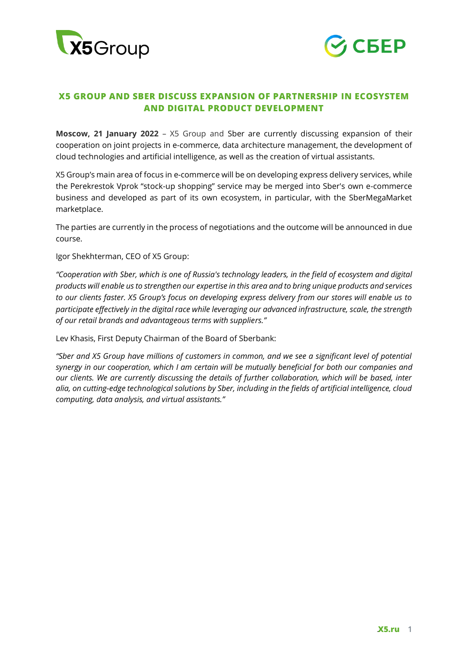



## **X5 GROUP AND SBER DISCUSS EXPANSION OF PARTNERSHIP IN ECOSYSTEM AND DIGITAL PRODUCT DEVELOPMENT**

**Moscow, 21 January 2022** – X5 Group and Sber are currently discussing expansion of their cooperation on joint projects in e-commerce, data architecture management, the development of cloud technologies and artificial intelligence, as well as the creation of virtual assistants.

X5 Group's main area of focus in e-commerce will be on developing express delivery services, while the Perekrestok Vprok "stock-up shopping" service may be merged into Sber's own e-commerce business and developed as part of its own ecosystem, in particular, with the SberMegaMarket marketplace.

The parties are currently in the process of negotiations and the outcome will be announced in due course.

Igor Shekhterman, CEO of X5 Group:

*"Cooperation with Sber, which is one of Russia's technology leaders, in the field of ecosystem and digital products will enable us to strengthen our expertise in this area and to bring unique products and services to our clients faster. X5 Group's focus on developing express delivery from our stores will enable us to participate effectively in the digital race while leveraging our advanced infrastructure, scale, the strength of our retail brands and advantageous terms with suppliers."*

Lev Khasis, First Deputy Chairman of the Board of Sberbank:

*"Sber and X5 Group have millions of customers in common, and we see a significant level of potential synergy in our cooperation, which I am certain will be mutually beneficial for both our companies and our clients. We are currently discussing the details of further collaboration, which will be based, inter alia, on cutting-edge technological solutions by Sber, including in the fields of artificial intelligence, cloud computing, data analysis, and virtual assistants."*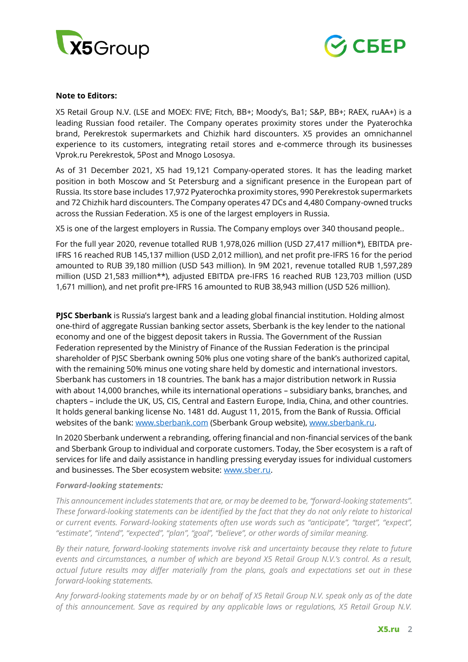



## **Note to Editors:**

X5 Retail Group N.V. (LSE and MOEX: FIVE; Fitch, BB+; Moody's, Ba1; S&P, BB+; RAEX, ruAA+) is a leading Russian food retailer. The Company operates proximity stores under the Pyaterochka brand, Perekrestok supermarkets and Chizhik hard discounters. X5 provides an omnichannel experience to its customers, integrating retail stores and e-commerce through its businesses Vprok.ru Perekrestok, 5Post and Mnogo Lososya.

As of 31 December 2021, X5 had 19,121 Company-operated stores. It has the leading market position in both Moscow and St Petersburg and a significant presence in the European part of Russia. Its store base includes 17,972 Pyaterochka proximity stores, 990 Perekrestok supermarkets and 72 Chizhik hard discounters. The Company operates 47 DCs and 4,480 Company-owned trucks across the Russian Federation. X5 is one of the largest employers in Russia.

X5 is one of the largest employers in Russia. The Company employs over 340 thousand people..

For the full year 2020, revenue totalled RUB 1,978,026 million (USD 27,417 million\*), EBITDA pre-IFRS 16 reached RUB 145,137 million (USD 2,012 million), and net profit pre-IFRS 16 for the period amounted to RUB 39,180 million (USD 543 million). In 9M 2021, revenue totalled RUB 1,597,289 million (USD 21,583 million\*\*), adjusted EBITDA pre-IFRS 16 reached RUB 123,703 million (USD 1,671 million), and net profit pre-IFRS 16 amounted to RUB 38,943 million (USD 526 million).

**PJSC Sberbank** is Russia's largest bank and a leading global financial institution. Holding almost one-third of aggregate Russian banking sector assets, Sberbank is the key lender to the national economy and one of the biggest deposit takers in Russia. The Government of the Russian Federation represented by the Ministry of Finance of the Russian Federation is the principal shareholder of PJSC Sberbank owning 50% plus one voting share of the bank's authorized capital, with the remaining 50% minus one voting share held by domestic and international investors. Sberbank has customers in 18 countries. The bank has a major distribution network in Russia with about 14,000 branches, while its international operations – subsidiary banks, branches, and chapters – include the UK, US, CIS, Central and Eastern Europe, India, China, and other countries. It holds general banking license No. 1481 dd. August 11, 2015, from the Bank of Russia. Official websites of the bank: [www.sberbank.com](http://www.sberbank.com/) (Sberbank Group website), [www.sberbank.ru.](http://www.sberbank.ru/)

In 2020 Sberbank underwent a rebranding, offering financial and non-financial services of the bank and Sberbank Group to individual and corporate customers. Today, the Sber ecosystem is a raft of services for life and daily assistance in handling pressing everyday issues for individual customers and businesses. The Sber ecosystem website: [www.sber.ru.](http://www.sber.ru/)

## *Forward-looking statements:*

*This announcement includes statements that are, or may be deemed to be, "forward-looking statements". These forward-looking statements can be identified by the fact that they do not only relate to historical or current events. Forward-looking statements often use words such as "anticipate", "target", "expect", "estimate", "intend", "expected", "plan", "goal", "believe", or other words of similar meaning.*

*By their nature, forward-looking statements involve risk and uncertainty because they relate to future events and circumstances, a number of which are beyond X5 Retail Group N.V.'s control. As a result, actual future results may differ materially from the plans, goals and expectations set out in these forward-looking statements.* 

*Any forward-looking statements made by or on behalf of X5 Retail Group N.V. speak only as of the date of this announcement. Save as required by any applicable laws or regulations, X5 Retail Group N.V.*